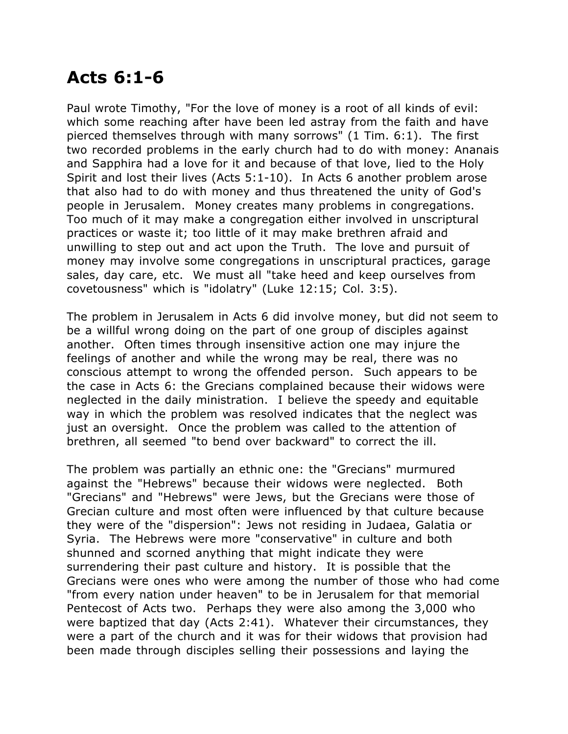## **Acts 6:1-6**

Paul wrote Timothy, "For the love of money is a root of all kinds of evil: which some reaching after have been led astray from the faith and have pierced themselves through with many sorrows" (1 Tim. 6:1). The first two recorded problems in the early church had to do with money: Ananais and Sapphira had a love for it and because of that love, lied to the Holy Spirit and lost their lives (Acts 5:1-10). In Acts 6 another problem arose that also had to do with money and thus threatened the unity of God's people in Jerusalem. Money creates many problems in congregations. Too much of it may make a congregation either involved in unscriptural practices or waste it; too little of it may make brethren afraid and unwilling to step out and act upon the Truth. The love and pursuit of money may involve some congregations in unscriptural practices, garage sales, day care, etc. We must all "take heed and keep ourselves from covetousness" which is "idolatry" (Luke 12:15; Col. 3:5).

The problem in Jerusalem in Acts 6 did involve money, but did not seem to be a willful wrong doing on the part of one group of disciples against another. Often times through insensitive action one may injure the feelings of another and while the wrong may be real, there was no conscious attempt to wrong the offended person. Such appears to be the case in Acts 6: the Grecians complained because their widows were neglected in the daily ministration. I believe the speedy and equitable way in which the problem was resolved indicates that the neglect was just an oversight. Once the problem was called to the attention of brethren, all seemed "to bend over backward" to correct the ill.

The problem was partially an ethnic one: the "Grecians" murmured against the "Hebrews" because their widows were neglected. Both "Grecians" and "Hebrews" were Jews, but the Grecians were those of Grecian culture and most often were influenced by that culture because they were of the "dispersion": Jews not residing in Judaea, Galatia or Syria. The Hebrews were more "conservative" in culture and both shunned and scorned anything that might indicate they were surrendering their past culture and history. It is possible that the Grecians were ones who were among the number of those who had come "from every nation under heaven" to be in Jerusalem for that memorial Pentecost of Acts two. Perhaps they were also among the 3,000 who were baptized that day (Acts 2:41). Whatever their circumstances, they were a part of the church and it was for their widows that provision had been made through disciples selling their possessions and laying the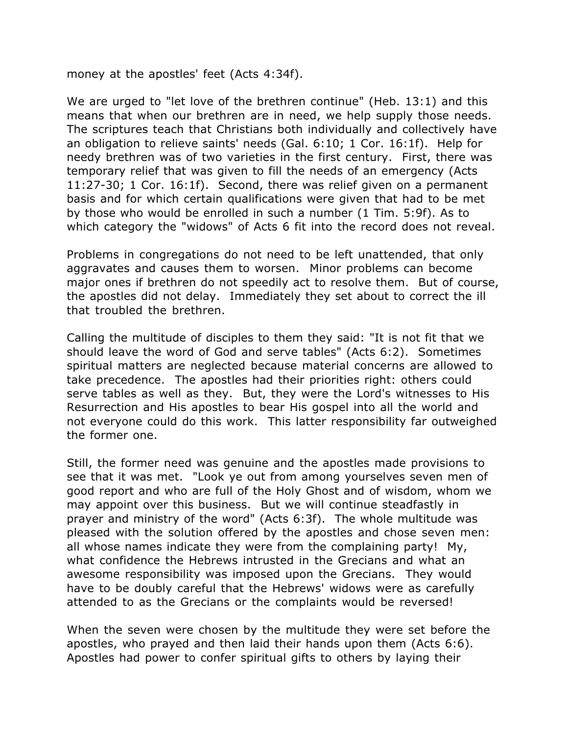money at the apostles' feet (Acts 4:34f).

We are urged to "let love of the brethren continue" (Heb. 13:1) and this means that when our brethren are in need, we help supply those needs. The scriptures teach that Christians both individually and collectively have an obligation to relieve saints' needs (Gal. 6:10; 1 Cor. 16:1f). Help for needy brethren was of two varieties in the first century. First, there was temporary relief that was given to fill the needs of an emergency (Acts 11:27-30; 1 Cor. 16:1f). Second, there was relief given on a permanent basis and for which certain qualifications were given that had to be met by those who would be enrolled in such a number (1 Tim. 5:9f). As to which category the "widows" of Acts 6 fit into the record does not reveal.

Problems in congregations do not need to be left unattended, that only aggravates and causes them to worsen. Minor problems can become major ones if brethren do not speedily act to resolve them. But of course, the apostles did not delay. Immediately they set about to correct the ill that troubled the brethren.

Calling the multitude of disciples to them they said: "It is not fit that we should leave the word of God and serve tables" (Acts 6:2). Sometimes spiritual matters are neglected because material concerns are allowed to take precedence. The apostles had their priorities right: others could serve tables as well as they. But, they were the Lord's witnesses to His Resurrection and His apostles to bear His gospel into all the world and not everyone could do this work. This latter responsibility far outweighed the former one.

Still, the former need was genuine and the apostles made provisions to see that it was met. "Look ye out from among yourselves seven men of good report and who are full of the Holy Ghost and of wisdom, whom we may appoint over this business. But we will continue steadfastly in prayer and ministry of the word" (Acts 6:3f). The whole multitude was pleased with the solution offered by the apostles and chose seven men: all whose names indicate they were from the complaining party! My, what confidence the Hebrews intrusted in the Grecians and what an awesome responsibility was imposed upon the Grecians. They would have to be doubly careful that the Hebrews' widows were as carefully attended to as the Grecians or the complaints would be reversed!

When the seven were chosen by the multitude they were set before the apostles, who prayed and then laid their hands upon them (Acts 6:6). Apostles had power to confer spiritual gifts to others by laying their